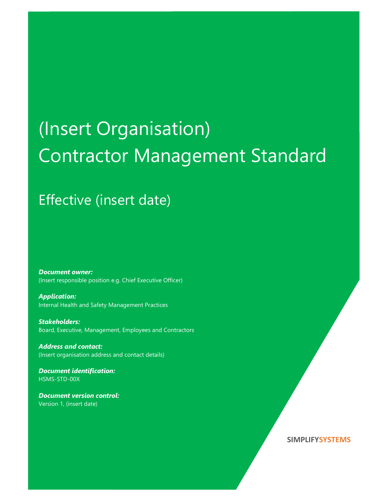# (Insert Organisation) Contractor Management Standard

## Effective (insert date)

Document owner: (Insert responsible position e.g. Chief Executive Officer)

Application: Internal Health and Safety Management Practices

Stakeholders: Board, Executive, Management, Employees and Contractors

Address and contact: (Insert organisation address and contact details)

Document identification: HSMS-STD-00X

Document version control: Version 1, (insert date)

#### SIMPLIFYSYSTEMS

SIMPLIFYSYSTEMS (STATE STATE STATE STATE STATE STATE STATE STATE STATE STATE STATE STATE STATE STATE STATE STA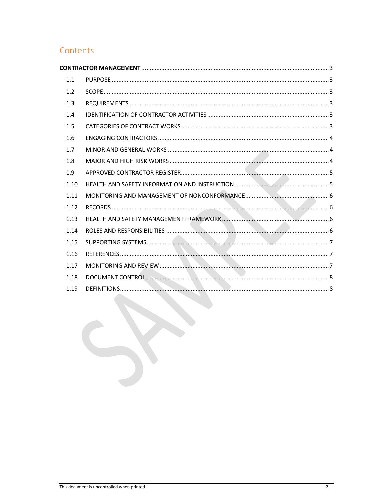### Contents

| 1.1  |  |
|------|--|
| 1.2  |  |
| 1.3  |  |
| 1.4  |  |
| 1.5  |  |
| 1.6  |  |
| 1.7  |  |
| 1.8  |  |
| 1.9  |  |
| 1.10 |  |
| 1.11 |  |
| 1.12 |  |
| 1.13 |  |
| 1.14 |  |
| 1.15 |  |
| 1.16 |  |
| 1.17 |  |
| 1.18 |  |
| 1.19 |  |